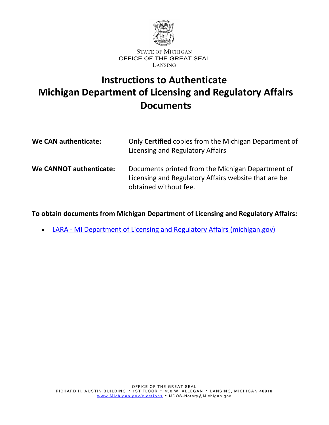

# **Instructions to Authenticate Michigan Department of Licensing and Regulatory Affairs Documents**

| We CAN authenticate:    | Only Certified copies from the Michigan Department of<br>Licensing and Regulatory Affairs                                          |
|-------------------------|------------------------------------------------------------------------------------------------------------------------------------|
| We CANNOT authenticate: | Documents printed from the Michigan Department of<br>Licensing and Regulatory Affairs website that are be<br>obtained without fee. |

**To obtain documents from Michigan Department of Licensing and Regulatory Affairs:**

 LARA - [MI Department of Licensing and Regulatory Affairs \(michigan.gov\)](https://www.michigan.gov/lara/) $\bullet$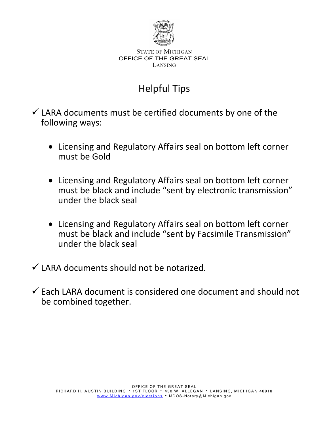

# Helpful Tips

 $\checkmark$  LARA documents must be certified documents by one of the following ways:

- Licensing and Regulatory Affairs seal on bottom left corner must be Gold
- Licensing and Regulatory Affairs seal on bottom left corner must be black and include "sent by electronic transmission" under the black seal
- Licensing and Regulatory Affairs seal on bottom left corner must be black and include "sent by Facsimile Transmission" under the black seal
- $\checkmark$  LARA documents should not be notarized.
- $\checkmark$  Each LARA document is considered one document and should not be combined together.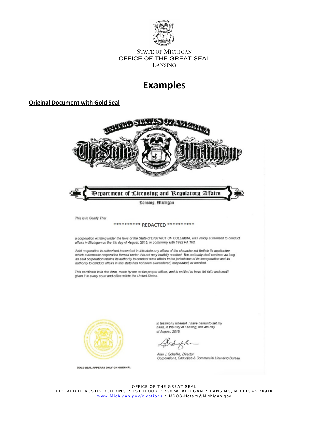

## **Examples**

### **Original Document with Gold Seal**



Schiffen

Alan J. Schefke, Director<br>Corporations, Securities & Commercial Licensing Bureau

OFFICE OF THE GREAT SEAL RICHARD H. AUSTIN BUILDING 1ST FLOOR 430 W. ALLEGAN LANSING, MICHIGAN 48918 www.<u>Michigan.gov/elections</u> • MDOS-Notary@Michigan.gov

**GOLD SEAL APPEARS ONLY ON ORIGINAL**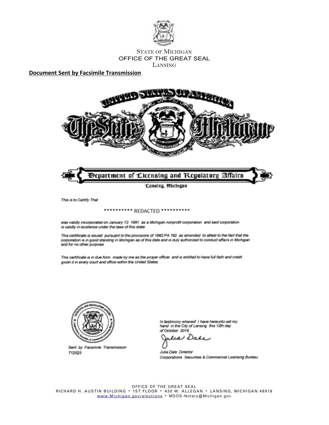

**Document Sent by Facsimile Transmission**





This is to Certify That

#### \*\*\*\*\*\*\*\*\*\* REDACTED \*\*\*\*\*\*\*\*\*\*

was validly incorporated on January 13 1981 as a Michigan nonprofit corporation and said corporation is validly in existence under the laws of this state

This certificate is issued pursuant to the provisions of 1982 PA 162 as amended to attest to the fact that the corporation is in good standing in Michigan as of this date and is duly authorized to conduct affairs in Michigan and for no other purpose

This certificate is in due form made by me as the proper officer and is entitled to have full faith and credit given it in every court and office within the United States



Sent by Facsimile Transmission 712523

In testmony whereof I have hereunto set my hand in the City of Lansing this 12th day of October 2016

ه م() د  $\iota$ 

Julia Dale Director Corporations Secunties & Commercial Licensing Bureau

OFFICE OF THE GREAT SEAL RICHARD H. AUSTIN BUILDING · 1ST FLOOR · 430 W. ALLEGAN · LANSING, MICHIGAN 48918 [www.Michigan.gov/elections](http://www.michigan.gov/sos) . MDOS-Notary@Michigan.gov